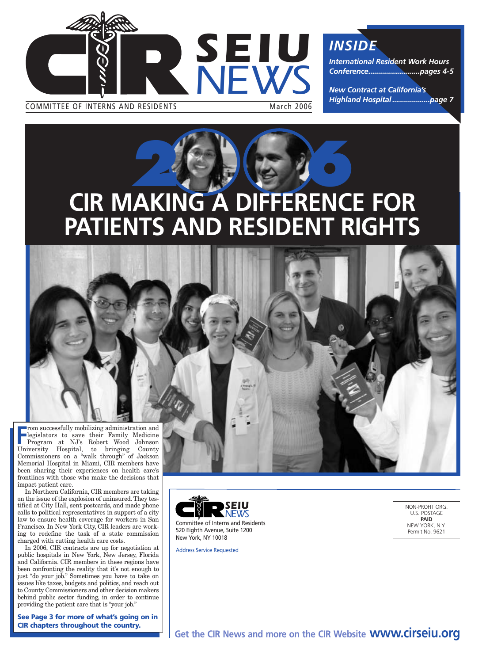

COMMITTEE OF INTERNS AND RESIDENTS March 2006

*INSIDE*

*International Resident Work Hours Conference..........................pages 4-5* 

*New Contract at California's Highland Hospital ...................page 7*

# **CIR MAKING A DIFFERENCE FOR** 2 6 9 6 20 **PATIENTS AND RESIDENT RIGHTS**

**F** rom successfully mobilizing administration and legislators to save their Family Medicine Program at NJ's Robert Wood Johnson University Hospital, to bringing County Commissioners on a "walk through" of Jackson Memorial Hospital in Miami, CIR members have been sharing their experiences on health care's frontlines with those who make the decisions that impact patient care.

In Northern California, CIR members are taking on the issue of the explosion of uninsured.They testified at City Hall, sent postcards, and made phone calls to political representatives in support of a city law to ensure health coverage for workers in San Francisco. In New York City, CIR leaders are working to redefine the task of a state commission charged with cutting health care costs.

In 2006, CIR contracts are up for negotiation at public hospitals in New York, New Jersey, Florida and California. CIR members in these regions have been confronting the reality that it's not enough to just "do your job." Sometimes you have to take on issues like taxes, budgets and politics, and reach out to County Commissioners and other decision makers behind public sector funding, in order to continue providing the patient care that is "your job."

**See Page 3 for more of what's going on in CIR chapters throughout the country.**



Committee of Interns and Residents 520 Eighth Avenue, Suite 1200 New York, NY 10018

Address Service Requested

NON-PROFIT ORG. U.S. POSTAGE **PAID** NEW YORK, N.Y. Permit No. 9621

**Get the CIR News and more on the CIR Website www.cirseiu.org**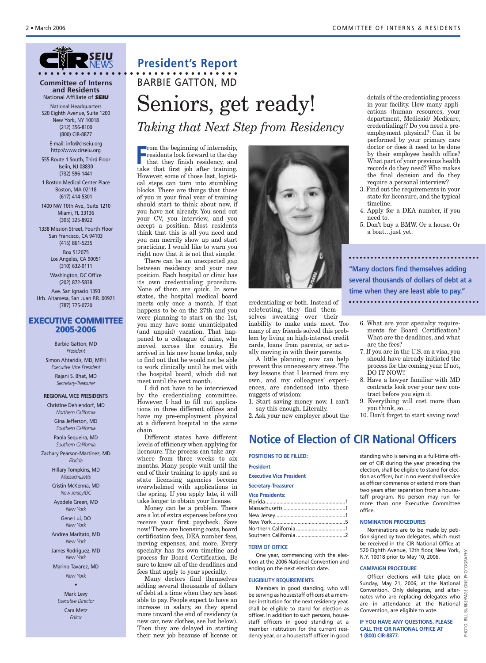

#### **Committee of Interns and Residents** National Affiliate of *SEIU*

National Headquarters 520 Eighth Avenue, Suite 1200 New York, NY 10018 (212) 356-8100 (800) CIR-8877

E-mail: info@cirseiu.org http://www.cirseiu.org

555 Route 1 South, Third Floor Iselin, NJ 08830 (732) 596-1441

1 Boston Medical Center Place Boston, MA 02118 (617) 414-5301

1400 NW 10th Ave., Suite 1210 Miami, FL 33136 (305) 325-8922

1338 Mission Street, Fourth Floor San Francisco, CA 94103 (415) 861-5235 Box 512075 Los Angeles, CA 90051 (310) 632-0111

Washington, DC Office (202) 872-5838 Ave. San Ignacio 1393 Urb. Altamesa, San Juan P.R. 00921 (787) 775-0720

#### **EXECUTIVE COMMITTEE 2005-2006**

Barbie Gatton, MD *President* Simon Ahtaridis, MD, MPH *Executive Vice President* Rajani S. Bhat, MD *Secretary-Treasurer*

#### **REGIONAL VICE PRESIDENTS**

Christine Dehlendorf, MD

*Northern California* Gina Jefferson, MD *Southern California*

Paola Sequeira, MD *Southern California*

Zachary Pearson-Martinez, MD *Florida*

> Hillary Tompkins, MD *Massachusetts*

Cristin McKenna, MD *New Jersey/DC*

Ayodele Green, MD *New York*

> Gene Lui, DO *New York*

Andrea Maritato, MD *New York*

James Rodriguez, MD *New York*

Marino Tavarez, MD *New York*

•

Mark Levy *Executive Director* Cara Metz *Editor*

#### **President's Report • • • • • • • • • • • • • • • • • • • • • • • • • • • • • • • • •**

# Seniors, get ready! *Taking that Next Step from Residency* BARBIE GATTON, MD

From the beginning of internship,<br>
residents look forward to the day<br>
that they finish residency, and<br>
take that first is a from training residents look forward to the day that they finish residency, and take that first job after training. However, some of those last, logistical steps can turn into stumbling blocks. There are things that those of you in your final year of training should start to think about now, if you have not already. You send out your CV, you interview, and you accept a position. Most residents think that this is all you need and you can merrily show up and start practicing. I would like to warn you right now that it is not that simple.

There can be an unexpected gap between residency and your new position. Each hospital or clinic has its own credentialing procedure. None of them are quick. In some states, the hospital medical board meets only once a month. If that happens to be on the 27th and you were planning to start on the 1st, you may have some unanticipated (and unpaid) vacation. That happened to a colleague of mine, who moved across the country. He arrived in his new home broke, only to find out that he would not be able to work clinically until he met with the hospital board, which did not meet until the next month.

I did not have to be interviewed by the credentialing committee. However, I had to fill out applications in three different offices and have my pre-employment physical at a different hospital in the same chain.

Different states have different levels of efficiency when applying for licensure. The process can take anywhere from three weeks to six months. Many people wait until the end of their training to apply and so state licensing agencies become overwhelmed with applications in the spring. If you apply late, it will take longer to obtain your license.

Money can be a problem. There are a lot of extra expenses before you receive your first paycheck. Save now! There are licensing costs, board certification fees, DEA number fees, moving expenses, and more. Every specialty has its own timeline and process for Board Certification. Be sure to know all of the deadlines and fees that apply to your specialty.

Many doctors find themselves adding several thousands of dollars of debt at a time when they are least able to pay. People expect to have an increase in salary, so they spend more toward the end of residency (a new car, new clothes, see list below). Then they are delayed in starting their new job because of license or



credentialing or both. Instead of celebrating, they find themselves sweating over their inability to make ends meet. Too many of my friends solved this problem by living on high-interest credit cards, loans from parents, or actually moving in with their parents.

A little planning now can help prevent this unnecessary stress. The key lessons that I learned from my own, and my colleagues' experiences, are condensed into these nuggets of wisdom:

1. Start saving money now. I can't say this enough. Literally.

2. Ask your new employer about the

details of the credentialing process in your facility. How many applications (human resources, your department, Medicaid/ Medicare, credentialing)? Do you need a preemployment physical? Can it be performed by your primary care doctor or does it need to be done by their employee health office? What part of your previous health records do they need? Who makes the final decision and do they require a personal interview?

- 3. Find out the requirements in your state for licensure, and the typical timeline.
- 4. Apply for a DEA number, if you need to.
- 5. Don't buy a BMW. Or a house. Or a boat…just yet.

**"Many doctors find themselves adding several thousands of dollars of debt at a time when they are least able to pay."** 

- 6. What are your specialty requirements for Board Certification? What are the deadlines, and what are the fees?
- 7. If you are in the U.S. on a visa, you should have already initiated the process for the coming year. If not, DO IT NOW!!
- 8. Have a lawyer familiar with MD contracts look over your new contract before you sign it.
- 9. Everything will cost more than you think, so….
- 10. Don't forget to start saving now!

**POSITIONS TO BE FILLED: President Notice of Election of CIR National Officers**

**Executive Vice President**

#### **Secretary-Treasurer**

| <b>Vice Presidents:</b> |  |
|-------------------------|--|
|                         |  |
|                         |  |
|                         |  |
|                         |  |
| Northern California 1   |  |
|                         |  |
|                         |  |

#### **TERM OF OFFICE**

One year, commencing with the election at the 2006 National Convention and ending on the next election date.

#### **ELIGIBILITY REQUIREMENTS**

Members in good standing, who will be serving as housestaff officers at a member institution for the next residency year, shall be eligible to stand for election as officer. In addition to such persons, housestaff officers in good standing at a member institution for the current residency year, or a housestaff officer in good standing who is serving as a full-time officer of CIR during the year preceding the election, shall be eligible to stand for election as officer, but in no event shall service as officer commence or extend more than two years after separation from a housestaff program. No person may run for more than one Executive Committee office.

#### **NOMINATION PROCEDURES**

Nominations are to be made by petition signed by two delegates, which must be received in the CIR National Office at 520 Eighth Avenue, 12th floor, New York, N.Y. 10018 prior to May 10, 2006.

#### **CAMPAIGN PROCEDURE**

Officer elections will take place on Sunday, May 21, 2006, at the National Convention. Only delegates, and alternates who are replacing delegates who are in attendance at the National Convention, are eligible to vote.

**IF YOU HAVE ANY QUESTIONS, PLEASE CALL THE CIR NATIONAL OFFICE AT 1 (800) CIR-8877.**

**TOGRAPH**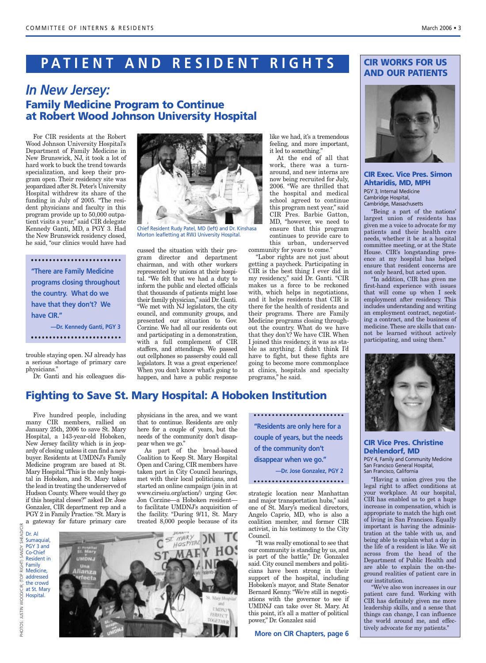# **PATIENT AND RESIDENT RIGHTS**

### *In New Jersey:* **Family Medicine Program to Continue at Robert Wood Johnson University Hospital**

For CIR residents at the Robert Wood Johnson University Hospital's Department of Family Medicine in New Brunswick, NJ, it took a lot of hard work to buck the trend towards specialization, and keep their program open. Their residency site was jeopardized after St. Peter's University Hospital withdrew its share of the funding in July of 2005. "The resident physicians and faculty in this program provide up to 50,000 outpatient visits a year," said CIR delegate Kennedy Ganti, MD, a PGY 3. Had the New Brunswick residency closed, he said, "our clinics would have had

**"There are Family Medicine programs closing throughout the country. What do we have that they don't? We have CIR." —Dr. Kennedy Ganti, PGY 3** 

trouble staying open. NJ already has a serious shortage of primary care physicians."

Dr. Ganti and his colleagues dis-



Chief Resident Rudy Patel, MD (left) and Dr. Kinshasa Morton leafletting at RWJ University Hospital.

cussed the situation with their program director and department chairman, and with other workers represented by unions at their hospital. "We felt that we had a duty to inform the public and elected officials that thousands of patients might lose their family physician," said Dr. Ganti. "We met with NJ legislators, the city council, and community groups, and presented our situation to Gov. Corzine. We had all our residents out and participating in a demonstration, with a full complement of CIR staffers, and attendings. We passed out cellphones so passersby could call legislators. It was a great experience! When you don't know what's going to happen, and have a public response

like we had, it's a tremendous feeling, and more important, it led to something."

At the end of all that work, there was a turnaround, and new interns are now being recruited for July, 2006. "We are thrilled that the hospital and medical school agreed to continue this program next year," said CIR Pres. Barbie Gatton, MD, "however, we need to ensure that this program continues to provide care to this urban, underserved community for years to come."

"Labor rights are not just about getting a paycheck. Participating in CIR is the best thing I ever did in my residency," said Dr. Ganti. "CIR makes us a force to be reckoned with, which helps in negotiations, and it helps residents that CIR is there for the health of residents and their programs. There are Family Medicine programs closing throughout the country. What do we have that they don't? We have CIR. When I joined this residency, it was as stable as anything. I didn't think I'd have to fight, but these fights are going to become more commonplace at clinics, hospitals and specialty programs," he said.

#### **CIR WORKS FOR US AND OUR PATIENTS**



**CIR Exec. Vice Pres. Simon Ahtaridis, MD, MPH** PGY 3, Internal Medicine Cambridge Hospital, Cambridge, Massachusetts

"Being a part of the nations' largest union of residents has given me a voice to advocate for my patients and their health care needs, whether it be at a hospital committee meeting, or at the State House. CIR's longstanding presence at my hospital has helped ensure that resident concerns are not only heard, but acted upon.

"In addition, CIR has given me first-hand experience with issues that will come up when I seek employment after residency. This includes understanding and writing an employment contract, negotiating a contract, and the business of medicine. These are skills that cannot be learned without actively participating, and using them."



#### **CIR Vice Pres. Christine Dehlendorf, MD**

PGY 4, Family and Community Medicine San Francisco General Hospital, San Francisco, California

"Having a union gives you the legal right to affect conditions at your workplace. At our hospital, CIR has enabled us to get a huge increase in compensation, which is appropriate to match the high cost of living in San Francisco. Equally important is having the administration at the table with us, and being able to explain what a day in the life of a resident is like. We sit across from the head of the Department of Public Health and are able to explain the on-theground realities of patient care in our institution.

"We've also won increases in our patient care fund. Working with CIR has definitely given me more leadership skills, and a sense that things can change, I can influence the world around me, and effectively advocate for my patients."

## **Fighting to Save St. Mary Hospital: A Hoboken Institution**

Five hundred people, including many CIR members, rallied on January 25th, 2006 to save St. Mary Hospital, a 143-year-old Hoboken, New Jersey facility which is in jeopardy of closing unless it can find a new buyer. Residents at UMDNJ's Family Medicine program are based at St. Mary Hospital."This is the only hospital in Hoboken, and St. Mary takes the lead in treating the underserved of Hudson County. Where would they go if this hospital closes?" asked Dr. Jose Gonzalez, CIR department rep and a PGY 2 in Family Practice."St. Mary is a gateway for future primary care

physicians in the area, and we want that to continue. Residents are only here for a couple of years, but the needs of the community don't disappear when we go."

As part of the broad-based Coalition to Keep St. Mary Hospital Open and Caring, CIR members have taken part in City Council hearings, met with their local politicians, and started an online campaign (join in at www.cirseiu.org/action/) urging Gov. Jon Corzine—a Hoboken resident to facilitate UMDNJ's acquisition of the facility. "During 9/11, St. Mary treated 8,000 people because of its

**"Residents are only here for a couple of years, but the needs of the community don't disappear when we go." —Dr. Jose Gonzalez, PGY 2**

strategic location near Manhattan and major transportation hubs," said one of St. Mary's medical directors, Angelo Caprio, MD, who is also a coalition member, and former CIR activist, in his testimony to the City Council.

"It was really emotional to see that our community is standing by us, and is part of the battle," Dr. Gonzalez said. City council members and politicians have been strong in their support of the hospital, including Hoboken's mayor, and State Senator Bernard Kenny. "We're still in negotiations with the governor to see if UMDNJ can take over St. Mary. At this point, it's all a matter of political power," Dr. Gonzalez said

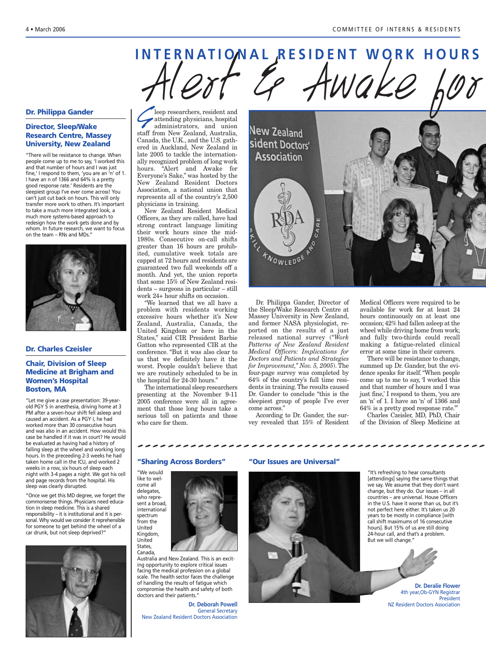# COMMITTEE OF INTERNATIONAL RESIDENT WORK HOURS Sleep researchers, resident and<br>administrators, and union

#### **Dr. Philippa Gander**

#### **Director, Sleep/Wake Research Centre, Massey University, New Zealand**

"There will be resistance to change. When people come up to me to say, 'I worked this and that number of hours and I was just fine,' I respond to them, 'you are an 'n' of 1. I have an n of 1366 and 64% is a pretty good response rate.' Residents are the sleepiest group I've ever come across! You can't just cut back on hours. This will only transfer more work to others. It's important to take a much more integrated look, a much more systems-based approach to redesign how the work gets done and by whom. In future research, we want to focus on the team – RNs and MDs."



#### **Dr. Charles Czeisler**

#### **Chair, Division of Sleep Medicine at Brigham and Women's Hospital Boston, MA**

"Let me give a case presentation: 39-yearold PGY 5 in anesthesia, driving home at 3 PM after a seven-hour shift fell asleep and caused an accident. As a PGY I, he had worked more than 30 consecutive hours and was also in an accident. How would this case be handled if it was in court? He would be evaluated as having had a history of falling sleep at the wheel and working long hours. In the preceeding 2-3 weeks he had taken home call in the ICU, and worked 2 weeks in a row, six hours of sleep each night with 3-4 pages a night. We got his cell and page records from the hospital. His sleep was clearly disrupted.

"Once we get this MD degree, we forget the commonsense things. Physicians need education in sleep medicine. This is a shared responsibility – it is institutional and it is personal. Why would we consider it reprehensible for someone to get behind the wheel of a car drunk, but not sleep deprived?"



attending physicians, hospital staff from New Zealand, Australia, Canada, the U.K., and the U.S. gathered in Auckland, New Zealand in late 2005 to tackle the internationally recognized problem of long work hours. "Alert and Awake for Everyone's Sake," was hosted by the New Zealand Resident Doctors Association, a national union that represents all of the country's 2,500 physicians in training.

New Zealand Resident Medical Officers, as they are called, have had strong contract language limiting their work hours since the mid-1980s. Consecutive on-call shifts greater than 16 hours are prohibited, cumulative week totals are capped at 72 hours and residents are guaranteed two full weekends off a month. And yet, the union reports that some 15% of New Zealand residents – surgeons in particular – still work 24+ hour shifts on occasion.

"We learned that we all have a problem with residents working excessive hours whether it's New Zealand, Australia, Canada, the United Kingdom or here in the States," said CIR President Barbie Gatton who represented CIR at the conference. "But it was also clear to us that we definitely have it the worst. People couldn't believe that we are routinely scheduled to be in the hospital for 24-30 hours."

The international sleep researchers presenting at the November 9-11 2005 conference were all in agreement that those long hours take a serious toll on patients and those who care for them.



Dr. Philippa Gander, Director of the Sleep/Wake Research Centre at Massey University in New Zealand, and former NASA physiologist, reported on the results of a just released national survey (*"Work Patterns of New Zealand Resident Medical Officers: Implications for Doctors and Patients and Strategies for Improvement," Nov. 5, 2005*). The four-page survey was completed by 64% of the country's full time residents in training. The results caused Dr. Gander to conclude "this is the sleepiest group of people I've ever come across."

According to Dr. Gander, the survey revealed that 15% of Resident who care for them.<br>  $\psi$  is revealed that 15% of Resident of the Division of Sleep Medicine at  $\psi$  is represented that 15% of Resident of the Division of Sleep Medicine at  $\psi$ 

Medical Officers were required to be available for work for at least 24 hours continuously on at least one occasion; 42% had fallen asleep at the wheel while driving home from work; and fully two-thirds could recall making a fatigue-related clinical error at some time in their careers.

There will be resistance to change, summed up Dr. Gander, but the evidence speaks for itself."When people come up to me to say, 'I worked this and that number of hours and I was just fine,' I respond to them, 'you are an 'n' of 1. I have an 'n' of 1366 and 64% is a pretty good response rate.'"

Charles Czeisler, MD, PhD, Chair of the Division of Sleep Medicine at

#### **"Sharing Across Borders"**



Canada, Australia and New Zealand. This is an exciting opportunity to explore critical issues facing the medical profession on a global scale. The health sector faces the challenge of handling the results of fatigue which compromise the health and safety of both doctors and their patients."

**Dr. Deborah Powell** General Secretary New Zealand Resident Doctors Association

#### **"Our Issues are Universal"**



"It's refreshing to hear consultants [attendings] saying the same things that we say. We assume that they don't want change, but they do. Our issues – in all countries – are universal. House Officers in the U.S. have it worse than us, but it's not perfect here either. It's taken us 20 years to be mostly in compliance [with call shift maximums of 16 consecutive hours]. But 15% of us are still doing 24-hour call, and that's a problem. But we will change."

**Dr. Deralie Flower** 4th year,Ob-GYN Registrar President NZ Resident Doctors Association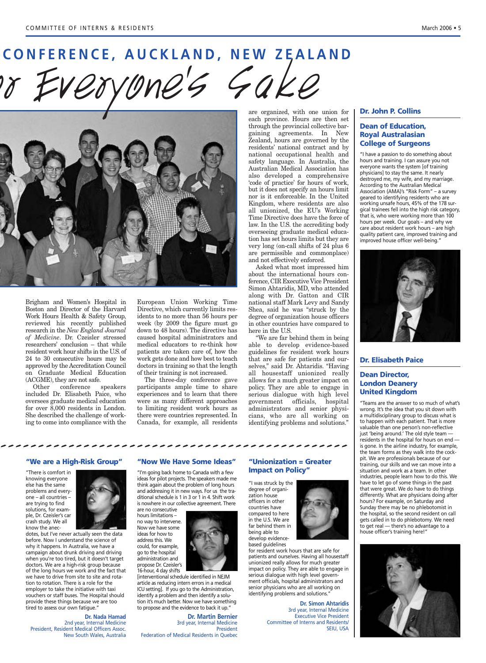# **CONFERENCE, AUCKLAND, NEW ZEALAND** CONFERENCE, AUCKLAND, NEW ZEALAND FINERENCE, AUCKLAND, NEW ZEALAND



Brigham and Women's Hospital in Boston and Director of the Harvard Work Hours Health & Safety Group, reviewed his recently published research in the *New England Journal of Medicine*. Dr. Czeisler stressed researchers' conclusion – that while resident work hour shifts in the U.S. of 24 to 30 consecutive hours may be approved by the Accreditation Council on Graduate Medical Education (ACGME), they are not safe.

Other conference speakers included Dr. Elisabeth Paice, who oversees graduate medical education for over 8,000 residents in London. She described the challenge of working to come into compliance with the

European Union Working Time Directive, which currently limits residents to no more than 56 hours per week (by 2009 the figure must go down to 48 hours). The directive has caused hospital administrators and medical educators to re-think how patients are taken care of, how the work gets done and how best to teach doctors in training so that the length of their training is not increased.

The three-day conference gave participants ample time to share experiences and to learn that there were as many different approaches to limiting resident work hours as there were countries represented. In Canada, for example, all residents mg to come mto compilance with the canada, for example, all residents dentitying problems and solutions.

are organized, with one union for each province. Hours are then set through the provincial collective bargaining agreements. In New Zealand, hours are governed by the residents' national contract and by national occupational health and safety language. In Australia, the Australian Medical Association has also developed a comprehensive 'code of practice' for hours of work, but it does not specify an hours limit nor is it enforceable. In the United Kingdom, where residents are also all unionized, the EU's Working Time Directive does have the force of law. In the U.S. the accrediting body overseeing graduate medical education has set hours limits but they are very long (on-call shifts of 24 plus 6 are permissible and commonplace) and not effectively enforced.

Asked what most impressed him about the international hours conference, CIR Executive Vice President Simon Ahtaridis, MD, who attended along with Dr. Gatton and CIR national staff Mark Levy and Sandy Shea, said he was "struck by the degree of organization house officers in other countries have compared to here in the U.S.

"We are far behind them in being able to develop evidence-based guidelines for resident work hours that are safe for patients and ourselves," said Dr. Ahtaridis. "Having all housestaff unionized really allows for a much greater impact on policy. They are able to engage in serious dialogue with high level government officials, hospital administrators and senior physicians, who are all working on identifying problems and solutions."

#### **Dr. John P. Collins**

#### **Dean of Education, Royal Australasian College of Surgeons**

"I have a passion to do something about hours and training. I can assure you not everyone wants the system [of training physicians] to stay the same. It nearly destroyed me, my wife, and my marriage. According to the Australian Medical Association (AMA)'s "Risk Form" – a survey geared to identifying residents who are working unsafe hours, 45% of the 178 surgical trainees fell into the high risk category, that is, who were working more than 100 hours per week. Our goals – and why we care about resident work hours – are high quality patient care, improved training and improved house officer well-being."



#### **Dr. Elisabeth Paice**

#### **Dean Director, London Deanery United Kingdom**

"Teams are the answer to so much of what's wrong. It's the idea that you sit down with a multidisciplinary group to discuss what is to happen with each patient. That is more valuable than one person's non-reflective just 'being around.' The old style team residents in the hospital for hours on end is gone. In the airline industry, for example, the team forms as they walk into the cockpit. We are professionals because of our training, our skills and we can move into a situation and work as a team. In other industries, people learn how to do this. We have to let go of some things in the past that were great. We do have to do things differently. What are physicians doing after hours? For example, on Saturday and Sunday there may be no phlebotomist in the hospital, so the second resident on call gets called in to do phlebotomy. We need to get real — there's no advantage to a house officer's training here!"



#### **"We are a High-Risk Group"**

"There is comfort in knowing everyone else has the same problems and everyone – all countries – are trying to find solutions, for example, Dr. Czeisler's car crash study. We all know the anec-



dotes, but I've never actually seen the data before. Now I understand the science of why it happens. In Australia, we have a campaign about drunk driving and driving when you're too tired, but it doesn't target doctors. We are a high-risk group because of the long hours we work and the fact that we have to drive from site to site and rotation to rotation. There is a role for the employer to take the initiative with taxi vouchers or staff buses. The Hospital should provide these things because we are too tired to assess our own fatigue."

**Dr. Nada Hamad** 2nd year, Internal Medicine President, Resident Medical Officers Assoc. New South Wales, Australia

#### **"Now We Have Some Ideas"**

"I'm going back home to Canada with a few ideas for pilot projects. The speakers made me think again about the problem of long hours and addressing it in new ways. For us the traditional schedule is 1 in 3 or 1 in 4. Shift work is nowhere in our collective agreement. There are no consecutive

hours limitations – no way to intervene. Now we have some ideas for how to address this. We could, for example, go to the hospital administration and

propose Dr. Czeisler's

16-hour, 4 day shifts [interventional schedule identified in NEJM article as reducing intern errors in a medical ICU setting]. If you go to the Administration, identify a problem and then identify a solution it's much better. Now we have something to propose and the evidence to back it up."

**Dr. Martin Bernier** 3rd year, Internal Medicine President Federation of Medical Residents in Quebec

#### **"Unionization = Greater Impact on Policy"**

"I was struck by the degree of organization house officers in other countries have compared to here in the U.S. We are far behind them in being able to develop evidence-



**Dr. Simon Ahtaridis** 3rd year, Internal Medicine Executive Vice President Committee of Interns and Residents/ SEIU, USA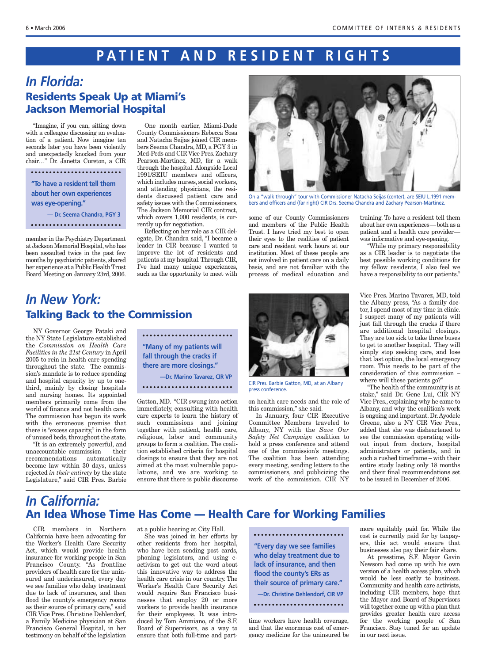# **PATIENT AND RESIDENT RIGHTS**

### *In Florida:*  **Residents Speak Up at Miami's Jackson Memorial Hospital**

"Imagine, if you can, sitting down with a colleague discussing an evaluation of a patient. Now imagine ten seconds later you have been violently and unexpectedly knocked from your chair…" Dr. Janetta Cureton, a CIR

**"To have a resident tell them about her own experiences was eye-opening." — Dr. Seema Chandra, PGY 3**

member in the Psychiatry Department at Jackson Memorial Hospital,who has been assaulted twice in the past few months by psychiatric patients, shared her experience at a Public Health Trust Board Meeting on January 23rd, 2006.

One month earlier, Miami-Dade County Commissioners Rebecca Sosa and Natacha Seijas joined CIR members Seema Chandra, MD, a PGY 3 in Med-Peds and CIR Vice Pres. Zachary Pearson-Martinez, MD, for a walk through the hospital. Alongside Local 1991/SEIU members and officers, which includes nurses, social workers, and attending physicians, the residents discussed patient care and safety issues with the Commissioners. The Jackson Memorial CIR contract, which covers 1,000 residents, is currently up for negotiation.

Reflecting on her role as a CIR delegate, Dr. Chandra said, "I became a leader in CIR because I wanted to improve the lot of residents and patients at my hospital.Through CIR, I've had many unique experiences, such as the opportunity to meet with



On a "walk through" tour with Commissioner Natacha Seijas (center), are SEIU L.1991 members and officers and (far right) CIR Drs. Seema Chandra and Zachary Pearson-Martinez.

some of our County Commissioners and members of the Public Health Trust. I have tried my best to open their eyes to the realities of patient care and resident work hours at our institution. Most of these people are not involved in patient care on a daily basis, and are not familiar with the process of medical education and training. To have a resident tell them about her own experiences—both as a patient and a health care provider was informative and eye-opening.

"While my primary responsibility as a CIR leader is to negotiate the best possible working conditions for my fellow residents, I also feel we have a responsibility to our patients."

## *In New York:*  **Talking Back to the Commission**

NY Governor George Pataki and the NY State Legislature established the *Commission on Health Care Facilities in the 21st Century* in April 2005 to rein in health care spending throughout the state. The commission's mandate is to reduce spending and hospital capacity by up to onethird, mainly by closing hospitals and nursing homes. Its appointed members primarily come from the world of finance and not health care. The commission has begun its work with the erroneous premise that there is "excess capacity," in the form of unused beds, throughout the state.

"It is an extremely powerful, and unaccountable commission — their recommendations automatically become law within 30 days, unless rejected *in their entirety* by the state Legislature," said CIR Pres. Barbie

**"Many of my patients will fall through the cracks if there are more closings." —Dr. Marino Tavarez, CIR VP** 

Gatton, MD. "CIR swung into action immediately, consulting with health care experts to learn the history of such commissions and joining together with patient, health care, religious, labor and community groups to form a coalition. The coalition established criteria for hospital closings to ensure that they are not aimed at the most vulnerable populations, and we are working to ensure that there is public discourse



CIR Pres. Barbie Gatton, MD, at an Albany press conference.

on health care needs and the role of this commission," she said.

In January, four CIR Executive Committee Members traveled to Albany, NY with the *Save Our Safety Net Campaign* coalition to hold a press conference and attend one of the commission's meetings. The coalition has been attending every meeting, sending letters to the commissioners, and publicizing the work of the commission. CIR NY

Vice Pres. Marino Tavarez, MD, told the Albany press, "As a family doctor, I spend most of my time in clinic. I suspect many of my patients will just fall through the cracks if there are additional hospital closings. They are too sick to take three buses to get to another hospital. They will simply stop seeking care, and lose that last option, the local emergency room. This needs to be part of the consideration of this commission – where will these patients go?"

"The health of the community is at stake," said Dr. Gene Lui, CIR NY Vice Pres., explaining why he came to Albany, and why the coalition's work is ongoing and important. Dr.Ayodele Greene, also a NY CIR Vice Pres., added that she was disheartened to see the commission operating without input from doctors, hospital administrators or patients, and in such a rushed timeframe – with their entire study lasting only 18 months and their final recommendations set to be issued in December of 2006.

## *In California:* **An Idea Whose Time Has Come — Health Care for Working Families**

CIR members in Northern California have been advocating for the Worker's Health Care Security Act, which would provide health insurance for working people in San Francisco County. "As frontline providers of health care for the uninsured and underinsured, every day we see families who delay treatment due to lack of insurance, and then flood the county's emergency rooms as their source of primary care," said CIR Vice Pres. Christine Dehlendorf, a Family Medicine physician at San Francisco General Hospital, in her testimony on behalf of the legislation

at a public hearing at City Hall.

She was joined in her efforts by other residents from her hospital, who have been sending post cards, phoning legislators, and using eactivism to get out the word about this innovative way to address the health care crisis in our country. The Worker's Health Care Security Act would require San Francisco businesses that employ 20 or more workers to provide health insurance for their employees. It was introduced by Tom Ammiano, of the S.F. Board of Supervisors, as a way to ensure that both full-time and part-

**"Every day we see families who delay treatment due to lack of insurance, and then flood the county's ERs as their source of primary care." —Dr. Christine Dehlendorf, CIR VP**  

time workers have health coverage, and that the enormous cost of emergency medicine for the uninsured be more equitably paid for. While the cost is currently paid for by taxpayers, this act would ensure that businesses also pay their fair share.

At presstime, S.F. Mayor Gavin Newsom had come up with his own version of a health access plan, which would be less costly to business. Community and health care activists, including CIR members, hope that the Mayor and Board of Supervisors will together come up with a plan that provides greater health care access for the working people of San Francisco. Stay tuned for an update in our next issue.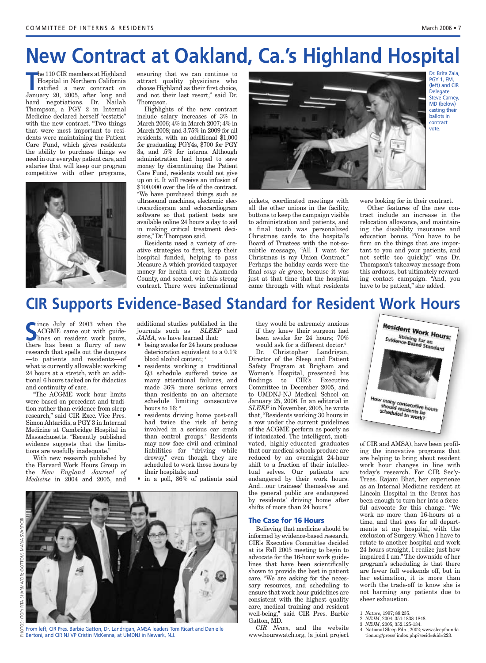# **New Contract at Oakland, Ca.'s Highland Hospital**

**The 110 CIR members at Highland<br>
<b>The Hospital in Northern California**<br> **The ratified a new contract on**<br> **January 20, 2005, after long and** he 110 CIR members at Highland Hospital in Northern California ratified a new contract on hard negotiations. Dr. Nailah Thompson, a PGY 2 in Internal Medicine declared herself "ecstatic" with the new contract. "Two things that were most important to residents were maintaining the Patient Care Fund, which gives residents the ability to purchase things we need in our everyday patient care, and salaries that will keep our program competitive with other programs,



ensuring that we can continue to attract quality physicians who choose Highland as their first choice, and not their last resort," said Dr. Thompson.

Highlights of the new contract include salary increases of 3% in March 2006; 4% in March 2007; 4% in March 2008; and 3.75% in 2009 for all residents, with an additional \$1,000 for graduating PGY4s, \$700 for PGY 3s, and .5% for interns. Although administration had hoped to save money by discontinuing the Patient Care Fund, residents would not give up on it. It will receive an infusion of \$100,000 over the life of the contract. "We have purchased things such as ultrasound machines, electronic electrocardiogram and echocardiogram software so that patient tests are available online 24 hours a day to aid in making critical treatment decisions," Dr. Thompson said.

Residents used a variety of creative strategies to first, keep their hospital funded, helping to pass Measure A which provided taxpayer money for health care in Alameda County, and second, win this strong contract. There were informational



pickets, coordinated meetings with all the other unions in the facility, buttons to keep the campaign visible to administration and patients, and a final touch was personalized Christmas cards to the hospital's Board of Trustees with the not-sosubtle message, "All I want for Christmas is my Union Contract." Perhaps the holiday cards were the final *coup de grace*, because it was just at that time that the hospital came through with what residents were looking for in their contract.

Other features of the new contract include an increase in the relocation allowance, and maintaining the disability insurance and education bonus. "You have to be firm on the things that are important to you and your patients, and not settle too quickly," was Dr. Thompson's takeaway message from this arduous, but ultimately rewarding contact campaign. "And, you have to be patient," she added.

# **CIR Supports Evidence-Based Standard for Resident Work Hours**

S Ince July of 2003 when the<br>
ACGME came out with guide-<br>
lines on resident work hours, ince July of 2003 when the ACGME came out with guidethere has been a flurry of new research that spells out the dangers —to patients and residents—of what is currently allowable: working 24 hours at a stretch, with an additional 6 hours tacked on for didactics and continuity of care.

"The ACGME work hour limits were based on precedent and tradition rather than evidence from sleep research," said CIR Exec. Vice Pres. Simon Ahtaridis, a PGY 3 in Internal Medicine at Cambridge Hospital in Massachusetts. "Recently published evidence suggests that the limitations are woefully inadequate."

With new research published by the Harvard Work Hours Group in the *New England Journal of Medicine* in 2004 and 2005, and

additional studies published in the journals such as *SLEEP* and *JAMA*, we have learned that:

- being awake for 24 hours produces deterioration equivalent to a 0.1% blood alcohol content;<sup>1</sup>
- residents working a traditional Q3 schedule suffered twice as many attentional failures, and made 36% more serious errors than residents on an alternate schedule limiting consecutive hours to 16;  $2$
- residents driving home post-call had twice the risk of being involved in a serious car crash than control groups. <sup>3</sup> Residents may now face civil and criminal liabilities for "driving while drowsy," even though they are scheduled to work those hours by their hospitals; and
- in a poll, 86% of patients said



New Contract at Oakland, Ca.'s Highland Hospital<br>| Photos: Contract at Oakland, Ca.'s Highland Hospital<br>| Circle State of International State of International State of International State of International State of Internat

From left, CIR Pres. Barbie Gatton, Dr. Landrigan, AMSA leaders Tom Ricart and Danielle Bertoni, and CIR NJ VP Cristin McKenna, at UMDNJ in Newark, N.J.

they would be extremely anxious if they knew their surgeon had been awake for 24 hours; 70% would ask for a different doctor.<sup>4</sup>

Dr. Christopher Landrigan, Director of the Sleep and Patient Safety Program at Brigham and Women's Hospital, presented his findings to CIR's Executive Committee in December 2005, and to UMDNJ-NJ Medical School on January 25, 2006. In an editorial in *SLEEP* in November, 2005, he wrote that, "Residents working 30 hours in a row under the current guidelines of the ACGME perform as poorly as if intoxicated. The intelligent, motivated, highly-educated graduates that our medical schools produce are reduced by an overnight 24-hour shift to a fraction of their intellectual selves. Our patients are endangered by their work hours. And…our trainees' themselves and the general public are endangered by residents' driving home after shifts of more than 24 hours."

#### **The Case for 16 Hours**

Believing that medicine should be informed by evidence-based research, CIR's Executive Committee decided at its Fall 2005 meeting to begin to advocate for the 16-hour work guidelines that have been scientifically shown to provide the best in patient care. "We are asking for the necessary resources, and scheduling to ensure that work hour guidelines are consistent with the highest quality care, medical training and resident well-being," said CIR Pres. Barbie Gatton, MD.

*CIR News*, and the website www.hourswatch.org, (a joint project



of CIR and AMSA), have been profiling the innovative programs that are helping to bring about resident work hour changes in line with today's research. For CIR Sec'y-Treas. Rajani Bhat, her experience as an Internal Medicine resident at Lincoln Hospital in the Bronx has been enough to turn her into a forceful advocate for this change. "We work no more than 16-hours at a time, and that goes for all departments at my hospital, with the exclusion of Surgery. When I have to rotate to another hospital and work 24 hours straight, I realize just how impaired I am." The downside of her program's scheduling is that there are fewer full weekends off, but in her estimation, it is more than worth the trade-off to know she is not harming any patients due to sheer exhaustion.

- 2 *NEJM*, 2004; 351:1838-1848.
- 3 *NEJM*, 2005; 352:125-134.
- 4 National Sleep Fdn., 2002; www.sleepfoundation.org/press/ index.php?secid=&id=223.

<sup>1</sup> *Nature*, 1997; 88:235.